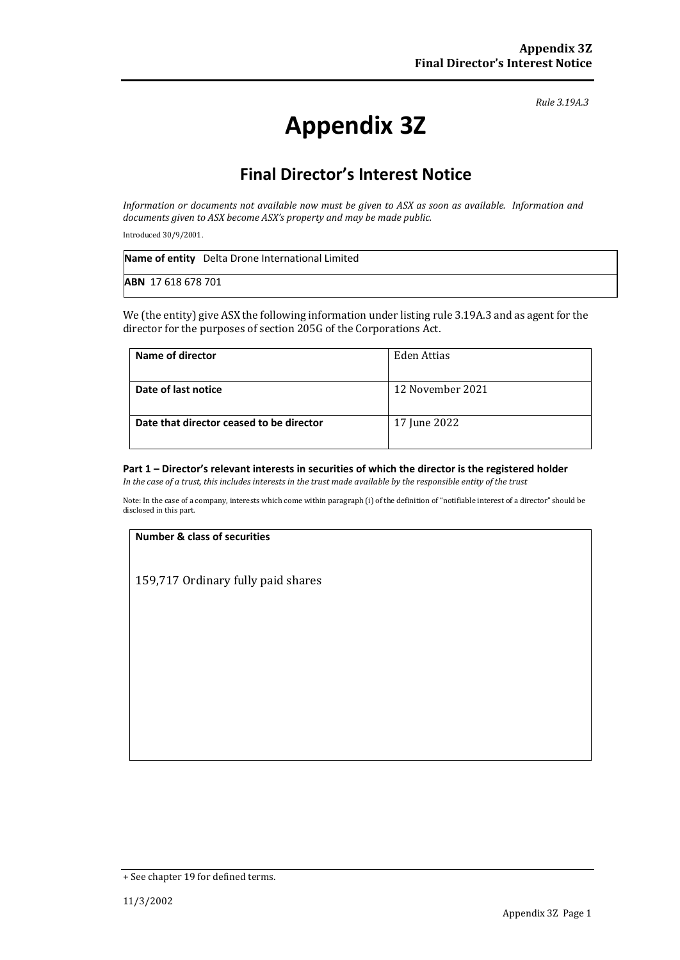*Rule 3.19A.3*

# **Appendix 3Z**

## **Final Director's Interest Notice**

*Information or documents not available now must be given to ASX as soon as available. Information and documents given to ASX become ASX's property and may be made public.*

Introduced 30/9/2001.

|                           | Name of entity Delta Drone International Limited |
|---------------------------|--------------------------------------------------|
| <b>ABN</b> 17 618 678 701 |                                                  |

We (the entity) give ASX the following information under listing rule 3.19A.3 and as agent for the director for the purposes of section 205G of the Corporations Act.

| Name of director                         | Eden Attias      |
|------------------------------------------|------------------|
| Date of last notice                      | 12 November 2021 |
| Date that director ceased to be director | 17 June 2022     |

#### **Part 1 – Director's relevant interests in securities of which the director is the registered holder**

*In the case of a trust, this includes interests in the trust made available by the responsible entity of the trust*

Note: In the case of a company, interests which come within paragraph (i) of the definition of "notifiable interest of a director" should be disclosed in this part.

#### **Number & class of securities**

159,717 Ordinary fully paid shares

<sup>+</sup> See chapter 19 for defined terms.